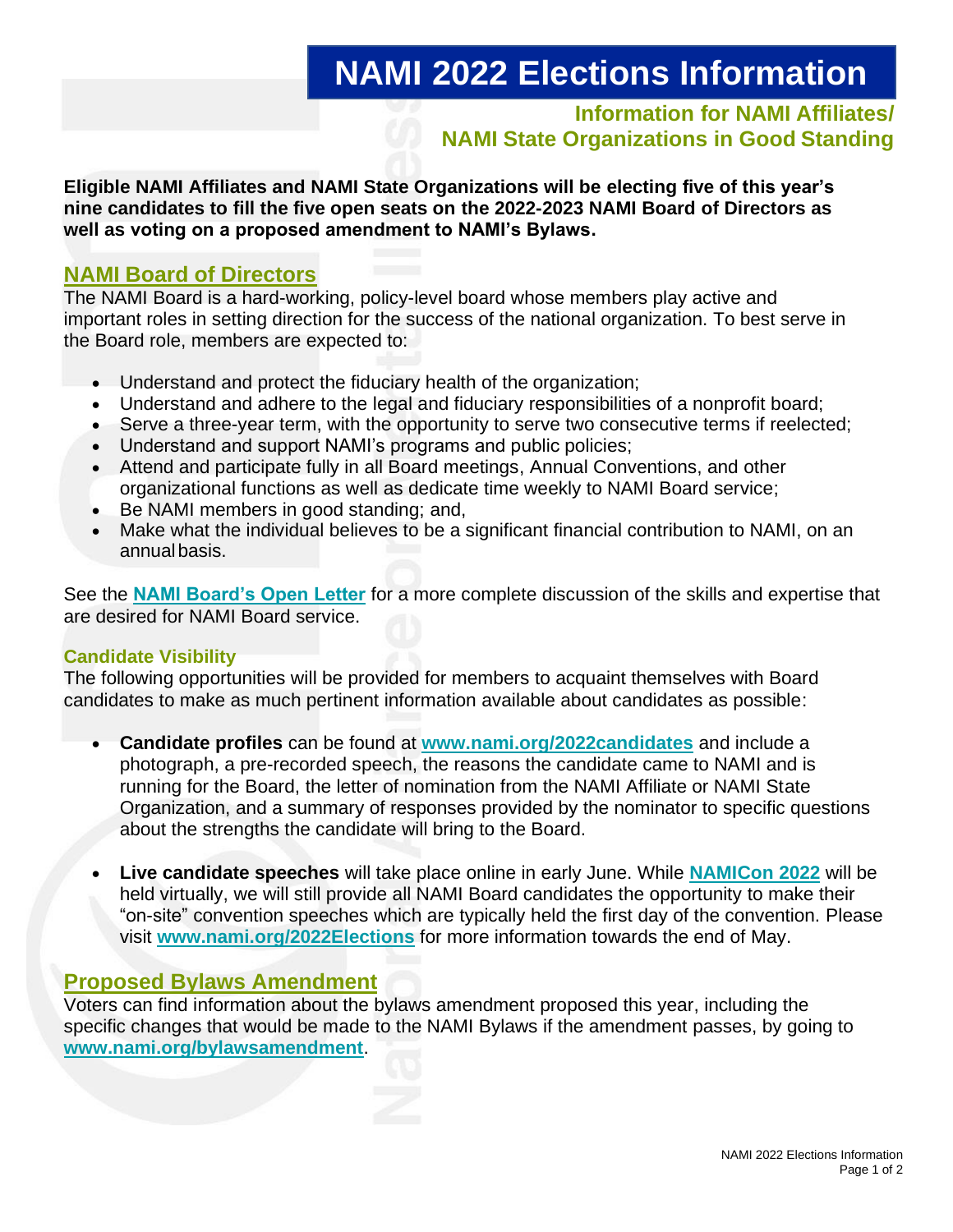# **NAMI 2022 Elections Information**

**Information for NAMI Affiliates/ NAMI State Organizations in Good Standing**

**Eligible NAMI Affiliates and NAMI State Organizations will be electing five of this year's nine candidates to fill the five open seats on the 2022-2023 NAMI Board of Directors as well as voting on a proposed amendment to NAMI's Bylaws.**

### **NAMI Board of Directors**

The NAMI Board is a hard-working, policy-level board whose members play active and important roles in setting direction for the success of the national organization. To best serve in the Board role, members are expected to:

- Understand and protect the fiduciary health of the organization;
- Understand and adhere to the legal and fiduciary responsibilities of a nonprofit board;
- Serve a three-year term, with the opportunity to serve two consecutive terms if reelected;
- Understand and support NAMI's programs and public policies;
- Attend and participate fully in all Board meetings, Annual Conventions, and other organizational functions as well as dedicate time weekly to NAMI Board service;
- Be NAMI members in good standing; and,
- Make what the individual believes to be a significant financial contribution to NAMI, on an annualbasis.

See the **[NAMI Board's Open Letter](https://www.nami.org/NAMI/media/NAMInet/Ops-Gov/2022-Open-Letter-from-the-NAMI-Board-FINAL.pdf)** for a more complete discussion of the skills and expertise that are desired for NAMI Board service.

### **Candidate Visibility**

The following opportunities will be provided for members to acquaint themselves with Board candidates to make as much pertinent information available about candidates as possible:

- **Candidate profiles** can be found at **[www.nami.org/2022candidates](http://www.nami.org/2022candidates)** and include a photograph, a pre-recorded speech, the reasons the candidate came to NAMI and is running for the Board, the letter of nomination from the NAMI Affiliate or NAMI State Organization, and a summary of responses provided by the nominator to specific questions about the strengths the candidate will bring to the Board.
- **Live candidate speeches** will take place online in early June. While **[NAMICon](https://www.nami.org/convention) 2022** will be held virtually, we will still provide all NAMI Board candidates the opportunity to make their "on-site" convention speeches which are typically held the first day of the convention. Please visit **[www.nami.org/2022Elections](http://www.nami.org/2022Elections)** for more information towards the end of May.

### **Proposed Bylaws Amendment**

Voters can find information about the bylaws amendment proposed this year, including the specific changes that would be made to the NAMI Bylaws if the amendment passes, by going to **[www.nami.org/bylawsamendment](http://www.nami.org/bylawsamendment)**.